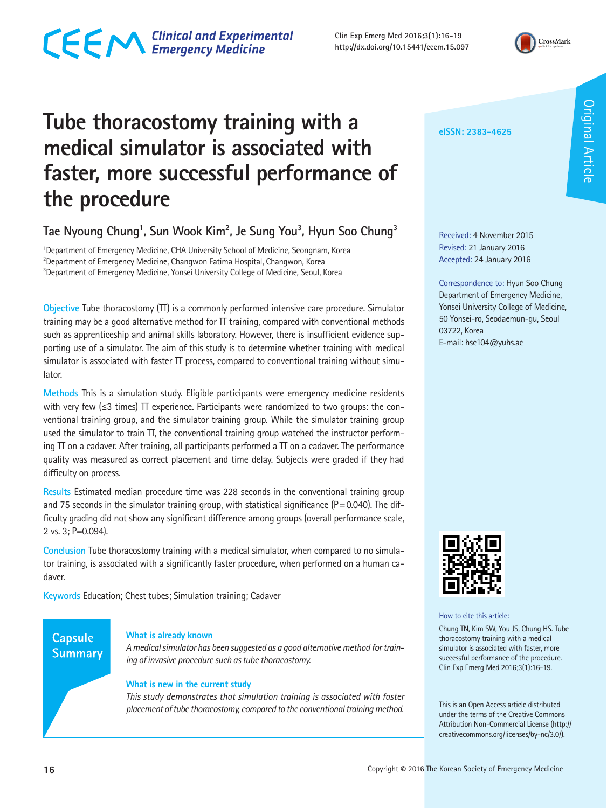## CECM Clinical and Experimental

**Clin Exp Emerg Med 2016;3(1):16-19 http://dx.doi.org/10.15441/ceem.15.097**



### **Tube thoracostomy training with a medical simulator is associated with faster, more successful performance of the procedure**

**Tae Nyoung Chung1 , Sun Wook Kim2 , Je Sung You3 , Hyun Soo Chung3**

<sup>1</sup>Department of Emergency Medicine, CHA University School of Medicine, Seongnam, Korea 2 Department of Emergency Medicine, Changwon Fatima Hospital, Changwon, Korea <sup>3</sup>Department of Emergency Medicine, Yonsei University College of Medicine, Seoul, Korea

**Objective** Tube thoracostomy (TT) is a commonly performed intensive care procedure. Simulator training may be a good alternative method for TT training, compared with conventional methods such as apprenticeship and animal skills laboratory. However, there is insufficient evidence supporting use of a simulator. The aim of this study is to determine whether training with medical simulator is associated with faster TT process, compared to conventional training without simulator.

**Methods** This is a simulation study. Eligible participants were emergency medicine residents with very few ( $\leq$ 3 times)  $\Pi$  experience. Participants were randomized to two groups: the conventional training group, and the simulator training group. While the simulator training group used the simulator to train  $\Pi$ , the conventional training group watched the instructor performing  $\Pi$  on a cadaver. After training, all participants performed a  $\Pi$  on a cadaver. The performance quality was measured as correct placement and time delay. Subjects were graded if they had difficulty on process.

**Results** Estimated median procedure time was 228 seconds in the conventional training group and 75 seconds in the simulator training group, with statistical significance ( $P = 0.040$ ). The difficulty grading did not show any significant difference among groups (overall performance scale, 2 vs. 3; P=0.094).

**Conclusion** Tube thoracostomy training with a medical simulator, when compared to no simulator training, is associated with a significantly faster procedure, when performed on a human cadaver.

**Keywords** Education; Chest tubes; Simulation training; Cadaver

### **Capsule Summary**

#### **What is already known**

*A medical simulator has been suggested as a good alternative method for training of invasive procedure such as tube thoracostomy.* 

#### **What is new in the current study**

*This study demonstrates that simulation training is associated with faster placement of tube thoracostomy, compared to the conventional training method.* 

**eISSN: 2383-4625**

Received: 4 November 2015 Revised: 21 January 2016 Accepted: 24 January 2016

Correspondence to: Hyun Soo Chung Department of Emergency Medicine, Yonsei University College of Medicine, 50 Yonsei-ro, Seodaemun-gu, Seoul 03722, Korea E-mail: hsc104@yuhs.ac



How to cite this article:

Chung TN, Kim SW, You JS, Chung HS. Tube thoracostomy training with a medical simulator is associated with faster, more successful performance of the procedure. Clin Exp Emerg Med 2016;3(1):16-19.

This is an Open Access article distributed under the terms of the Creative Commons Attribution Non-Commercial License (http:// creativecommons.org/licenses/by-nc/3.0/).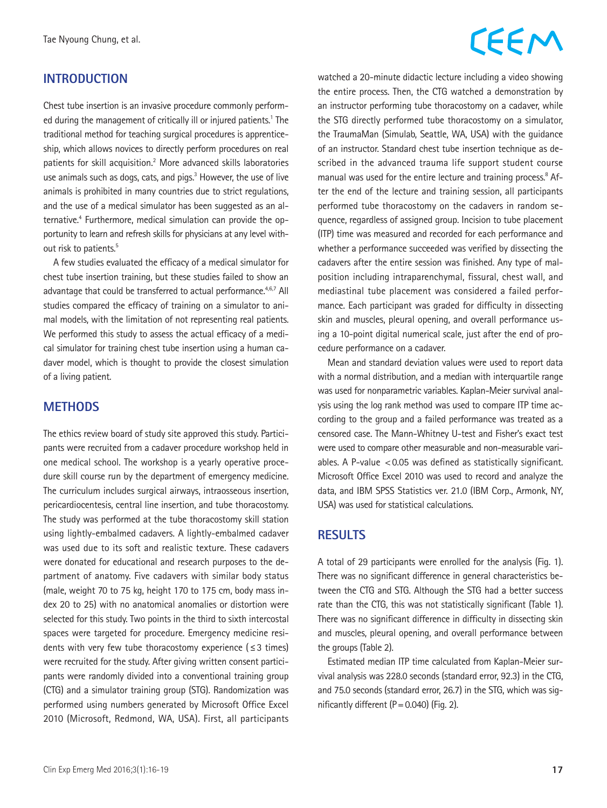### **INTRODUCTION**

Chest tube insertion is an invasive procedure commonly performed during the management of critically ill or injured patients.<sup>1</sup> The traditional method for teaching surgical procedures is apprenticeship, which allows novices to directly perform procedures on real patients for skill acquisition.<sup>2</sup> More advanced skills laboratories use animals such as dogs, cats, and pigs.<sup>3</sup> However, the use of live animals is prohibited in many countries due to strict regulations, and the use of a medical simulator has been suggested as an alternative.<sup>4</sup> Furthermore, medical simulation can provide the opportunity to learn and refresh skills for physicians at any level without risk to patients.<sup>5</sup>

A few studies evaluated the efficacy of a medical simulator for chest tube insertion training, but these studies failed to show an advantage that could be transferred to actual performance.<sup>4,6,7</sup> All studies compared the efficacy of training on a simulator to animal models, with the limitation of not representing real patients. We performed this study to assess the actual efficacy of a medical simulator for training chest tube insertion using a human cadaver model, which is thought to provide the closest simulation of a living patient.

### **METHODS**

The ethics review board of study site approved this study. Participants were recruited from a cadaver procedure workshop held in one medical school. The workshop is a yearly operative procedure skill course run by the department of emergency medicine. The curriculum includes surgical airways, intraosseous insertion, pericardiocentesis, central line insertion, and tube thoracostomy. The study was performed at the tube thoracostomy skill station using lightly-embalmed cadavers. A lightly-embalmed cadaver was used due to its soft and realistic texture. These cadavers were donated for educational and research purposes to the department of anatomy. Five cadavers with similar body status (male, weight 70 to 75 kg, height 170 to 175 cm, body mass index 20 to 25) with no anatomical anomalies or distortion were selected for this study. Two points in the third to sixth intercostal spaces were targeted for procedure. Emergency medicine residents with very few tube thoracostomy experience ( $\leq$  3 times) were recruited for the study. After giving written consent participants were randomly divided into a conventional training group (CTG) and a simulator training group (STG). Randomization was performed using numbers generated by Microsoft Office Excel 2010 (Microsoft, Redmond, WA, USA). First, all participants

# CEEM

watched a 20-minute didactic lecture including a video showing the entire process. Then, the CTG watched a demonstration by an instructor performing tube thoracostomy on a cadaver, while the STG directly performed tube thoracostomy on a simulator, the TraumaMan (Simulab, Seattle, WA, USA) with the guidance of an instructor. Standard chest tube insertion technique as described in the advanced trauma life support student course manual was used for the entire lecture and training process.<sup>8</sup> After the end of the lecture and training session, all participants performed tube thoracostomy on the cadavers in random sequence, regardless of assigned group. Incision to tube placement (ITP) time was measured and recorded for each performance and whether a performance succeeded was verified by dissecting the cadavers after the entire session was finished. Any type of malposition including intraparenchymal, fissural, chest wall, and mediastinal tube placement was considered a failed performance. Each participant was graded for difficulty in dissecting skin and muscles, pleural opening, and overall performance using a 10-point digital numerical scale, just after the end of procedure performance on a cadaver.

Mean and standard deviation values were used to report data with a normal distribution, and a median with interquartile range was used for nonparametric variables. Kaplan-Meier survival analysis using the log rank method was used to compare ITP time according to the group and a failed performance was treated as a censored case. The Mann-Whitney U-test and Fisher's exact test were used to compare other measurable and non-measurable variables. A P-value  $< 0.05$  was defined as statistically significant. Microsoft Office Excel 2010 was used to record and analyze the data, and IBM SPSS Statistics ver. 21.0 (IBM Corp., Armonk, NY, USA) was used for statistical calculations.

### **RESULTS**

A total of 29 participants were enrolled for the analysis (Fig. 1). There was no significant difference in general characteristics between the CTG and STG. Although the STG had a better success rate than the CTG, this was not statistically significant (Table 1). There was no significant difference in difficulty in dissecting skin and muscles, pleural opening, and overall performance between the groups (Table 2).

Estimated median ITP time calculated from Kaplan-Meier survival analysis was 228.0 seconds (standard error, 92.3) in the CTG, and 75.0 seconds (standard error, 26.7) in the STG, which was significantly different  $(P = 0.040)$  (Fig. 2).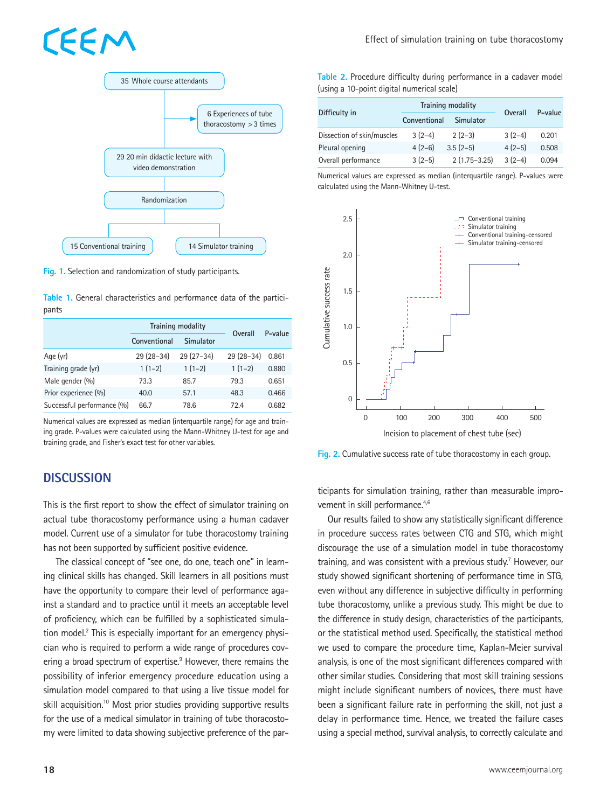# EEM



**Fig. 1.** Selection and randomization of study participants.

**Table 1.** General characteristics and performance data of the participants

|                            | Training modality |             | Overall     | P-value |
|----------------------------|-------------------|-------------|-------------|---------|
|                            | Conventional      | Simulator   |             |         |
| Age (yr)                   | $29(28-34)$       | $29(27-34)$ | $29(28-34)$ | 0.861   |
| Training grade (yr)        | $1(1-2)$          | $1(1-2)$    | $1(1-2)$    | 0.880   |
| Male gender (%)            | 73.3              | 85.7        | 79.3        | 0.651   |
| Prior experience (%)       | 40.0              | 57.1        | 48.3        | 0.466   |
| Successful performance (%) | 66.7              | 78.6        | 72.4        | 0.682   |

Numerical values are expressed as median (interquartile range) for age and training grade. P-values were calculated using the Mann-Whitney U-test for age and training grade, and Fisher's exact test for other variables.

### **DISCUSSION**

This is the first report to show the effect of simulator training on actual tube thoracostomy performance using a human cadaver model. Current use of a simulator for tube thoracostomy training has not been supported by sufficient positive evidence.

 The classical concept of "see one, do one, teach one" in learning clinical skills has changed. Skill learners in all positions must have the opportunity to compare their level of performance against a standard and to practice until it meets an acceptable level of proficiency, which can be fulfilled by a sophisticated simulation model.<sup>2</sup> This is especially important for an emergency physician who is required to perform a wide range of procedures covering a broad spectrum of expertise.<sup>9</sup> However, there remains the possibility of inferior emergency procedure education using a simulation model compared to that using a live tissue model for skill acquisition.<sup>10</sup> Most prior studies providing supportive results for the use of a medical simulator in training of tube thoracostomy were limited to data showing subjective preference of the par**Table 2.** Procedure difficulty during performance in a cadaver model (using a 10-point digital numerical scale)

| Difficulty in              | Training modality |                  | Overall  | P-value |
|----------------------------|-------------------|------------------|----------|---------|
|                            | Conventional      | Simulator        |          |         |
| Dissection of skin/muscles | $3(2-4)$          | $2(2-3)$         | $3(2-4)$ | 0.201   |
| Pleural opening            | $4(2-6)$          | $3.5(2-5)$       | $4(2-5)$ | 0.508   |
| Overall performance        | $3(2-5)$          | $2(1.75 - 3.25)$ | $3(2-4)$ | 0.094   |

Numerical values are expressed as median (interquartile range). P-values were calculated using the Mann-Whitney U-test.



**Fig. 2.** Cumulative success rate of tube thoracostomy in each group.

ticipants for simulation training, rather than measurable improvement in skill performance.<sup>4,6</sup>

Our results failed to show any statistically significant difference in procedure success rates between CTG and STG, which might discourage the use of a simulation model in tube thoracostomy training, and was consistent with a previous study.<sup>7</sup> However, our study showed significant shortening of performance time in STG, even without any difference in subjective difficulty in performing tube thoracostomy, unlike a previous study. This might be due to the difference in study design, characteristics of the participants, or the statistical method used. Specifically, the statistical method we used to compare the procedure time, Kaplan-Meier survival analysis, is one of the most significant differences compared with other similar studies. Considering that most skill training sessions might include significant numbers of novices, there must have been a significant failure rate in performing the skill, not just a delay in performance time. Hence, we treated the failure cases using a special method, survival analysis, to correctly calculate and